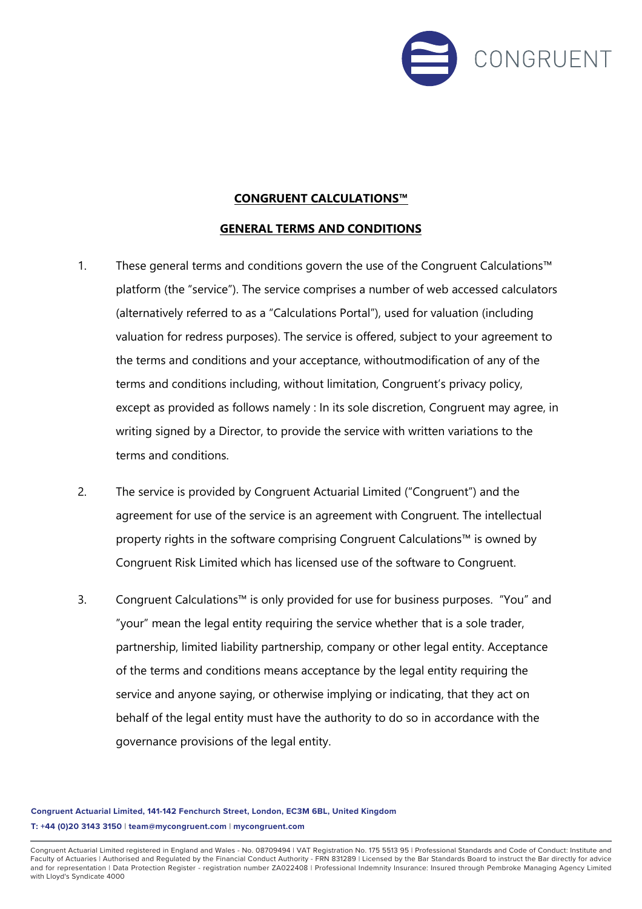

## **CONGRUENT CALCULATIONS™**

## **GENERAL TERMS AND CONDITIONS**

- 1. These general terms and conditions govern the use of the Congruent Calculations™ platform (the "service"). The service comprises a number of web accessed calculators (alternatively referred to as a "Calculations Portal"), used for valuation (including valuation for redress purposes). The service is offered, subject to your agreement to the terms and conditions and your acceptance, without modification of any of the terms and conditions including, without limitation, Congruent's privacy policy, except as provided as follows namely : In its sole discretion, Congruent may agree, in writing signed by a Director, to provide the service with written variations to the terms and conditions.
- 2. The service is provided by Congruent Actuarial Limited ("Congruent") and the agreement for use of the service is an agreement with Congruent. The intellectual property rights in the software comprising Congruent Calculations™ is owned by Congruent Risk Limited which has licensed use of the software to Congruent.
- 3. Congruent Calculations™ is only provided for use for business purposes. "You" and "your" mean the legal entity requiring the service whether that is a sole trader, partnership, limited liability partnership, company or other legal entity. Acceptance of the terms and conditions means acceptance by the legal entity requiring the service and anyone saying, or otherwise implying or indicating, that they act on behalf of the legal entity must have the authority to do so in accordance with the governance provisions of the legal entity.

**Congruent Actuarial Limited, 141-142 Fenchurch Street, London, EC3M 6BL, United Kingdom T: +44 (0)20 3143 3150 | team@mycongruent.com | mycongruent.com**

Congruent Actuarial Limited registered in England and Wales - No. 08709494 | VAT Registration No. 175 5513 95 | Professional Standards and Code of Conduct: Institute and Faculty of Actuaries | Authorised and Regulated by the Financial Conduct Authority - FRN 831289 | Licensed by the Bar Standards Board to instruct the Bar directly for advice<br>and for representation | Data Protection Registe with Lloyd's Syndicate 4000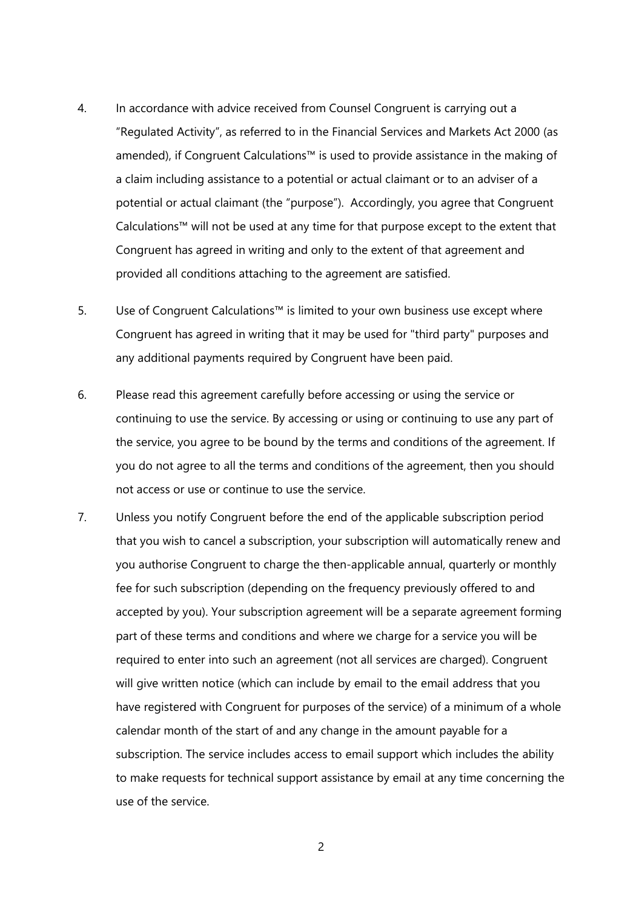- 4. In accordance with advice received from Counsel Congruent is carrying out a "Regulated Activity", as referred to in the Financial Services and Markets Act 2000 (as amended), if Congruent Calculations™ is used to provide assistance in the making of a claim including assistance to a potential or actual claimant or to an adviser of a potential or actual claimant (the "purpose"). Accordingly, you agree that Congruent Calculations™ will not be used at any time for that purpose except to the extent that Congruent has agreed in writing and only to the extent of that agreement and provided all conditions attaching to the agreement are satisfied.
- 5. Use of Congruent Calculations™ is limited to your own business use except where Congruent has agreed in writing that it may be used for "third party" purposes and any additional payments required by Congruent have been paid.
- 6. Please read this agreement carefully before accessing or using the service or continuing to use the service. By accessing or using or continuing to use any part of the service, you agree to be bound by the terms and conditions of the agreement. If you do not agree to all the terms and conditions of the agreement, then you should not access or use or continue to use the service.
- 7. Unless you notify Congruent before the end of the applicable subscription period that you wish to cancel a subscription, your subscription will automatically renew and you authorise Congruent to charge the then-applicable annual, quarterly or monthly fee for such subscription (depending on the frequency previously offered to and accepted by you). Your subscription agreement will be a separate agreement forming part of these terms and conditions and where we charge for a service you will be required to enter into such an agreement (not all services are charged). Congruent will give written notice (which can include by email to the email address that you have registered with Congruent for purposes of the service) of a minimum of a whole calendar month of the start of and any change in the amount payable for a subscription. The service includes access to email support which includes the ability to make requests for technical support assistance by email at any time concerning the use of the service.

2